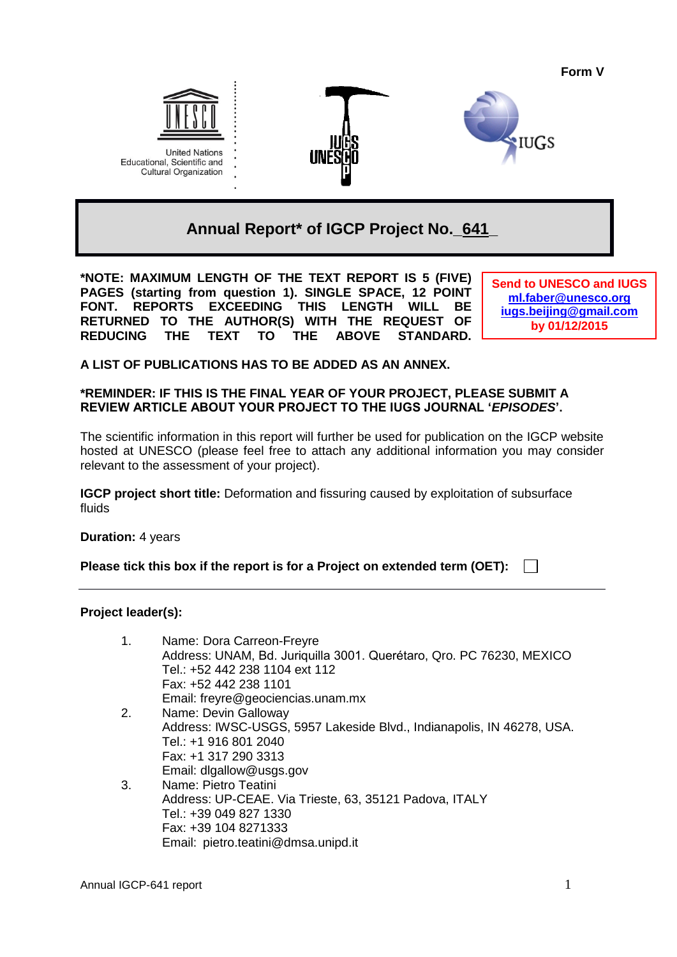**Form V**







**Annual Report\* of IGCP Project No.\_641\_**

**\*NOTE: MAXIMUM LENGTH OF THE TEXT REPORT IS 5 (FIVE) PAGES (starting from question 1). SINGLE SPACE, 12 POINT FONT. REPORTS EXCEEDING THIS LENGTH WILL BE RETURNED TO THE AUTHOR(S) WITH THE REQUEST OF REDUCING THE TEXT TO THE ABOVE STANDARD.** 

**Send to UNESCO and IUGS [ml.faber@unesco.org](mailto:ml.faber@unesco.org) [iugs.beijing@gmail.com](mailto:iugs.beijing@gmail.com) by 01/12/2015**

**A LIST OF PUBLICATIONS HAS TO BE ADDED AS AN ANNEX.**

# **\*REMINDER: IF THIS IS THE FINAL YEAR OF YOUR PROJECT, PLEASE SUBMIT A REVIEW ARTICLE ABOUT YOUR PROJECT TO THE IUGS JOURNAL '***EPISODES***'.**

The scientific information in this report will further be used for publication on the IGCP website hosted at UNESCO (please feel free to attach any additional information you may consider relevant to the assessment of your project).

**IGCP project short title:** Deformation and fissuring caused by exploitation of subsurface fluids

**Duration:** 4 years

**Please tick this box if the report is for a Project on extended term (OET):**

**Project leader(s):**

| 1. | Name: Dora Carreon-Freyre                                             |
|----|-----------------------------------------------------------------------|
|    | Address: UNAM, Bd. Juriquilla 3001. Querétaro, Qro. PC 76230, MEXICO  |
|    | Tel.: +52 442 238 1104 ext 112                                        |
|    | Fax: +52 442 238 1101                                                 |
|    | Email: freyre@geociencias.unam.mx                                     |
| 2. | Name: Devin Galloway                                                  |
|    | Address: IWSC-USGS, 5957 Lakeside Blvd., Indianapolis, IN 46278, USA. |
|    | Tel.: +1 916 801 2040                                                 |
|    | Fax: +1 317 290 3313                                                  |
|    | Email: digallow@usgs.gov                                              |
| 3. | Name: Pietro Teatini                                                  |
|    | Address: LID CEAE Via Trieste 63, 35121 Dadova ITALV                  |

Address: UP-CEAE. Via Trieste, 63, 35121 Padova, ITALY Tel.: +39 049 827 1330 Fax: +39 104 8271333 Email: pietro.teatini@dmsa.unipd.it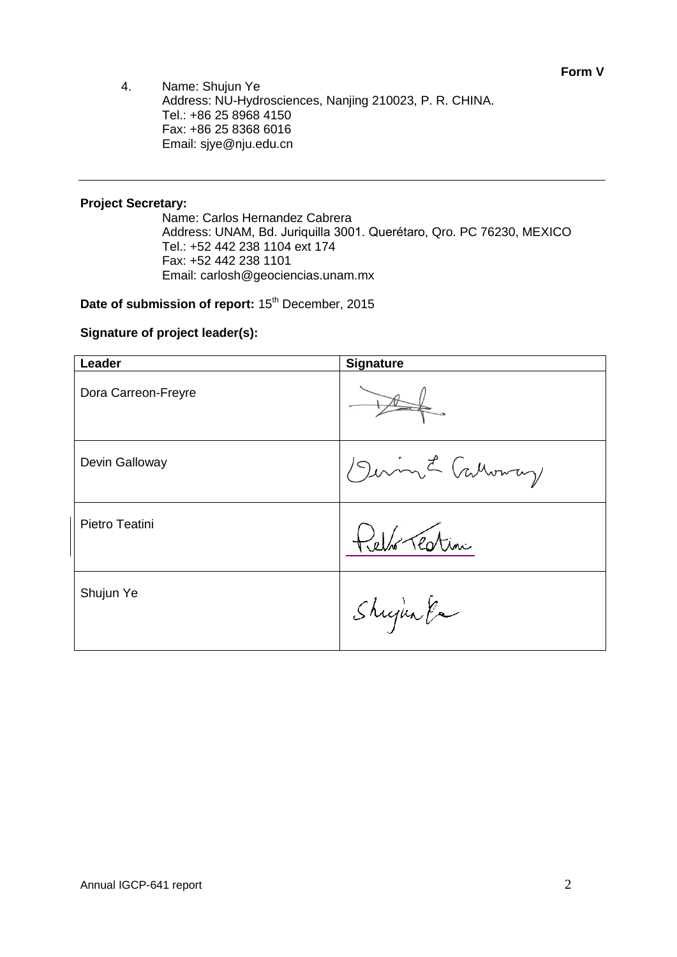4. Name: Shujun Ye Address: NU-Hydrosciences, Nanjing 210023, P. R. CHINA. Tel.: +86 25 8968 4150 Fax: +86 25 8368 6016 Email: sjye@nju.edu.cn

# **Project Secretary:**

Name: Carlos Hernandez Cabrera Address: UNAM, Bd. Juriquilla 3001. Querétaro, Qro. PC 76230, MEXICO Tel.: +52 442 238 1104 ext 174 Fax: +52 442 238 1101 Email: carlosh@geociencias.unam.mx

Date of submission of report: 15<sup>th</sup> December, 2015

# **Signature of project leader(s):**

| Leader              | <b>Signature</b> |  |
|---------------------|------------------|--|
| Dora Carreon-Freyre |                  |  |
| Devin Galloway      | Divin L Cathery  |  |
| Pietro Teatini      | Relho Testini    |  |
| Shujun Ye           | Shijan Pa        |  |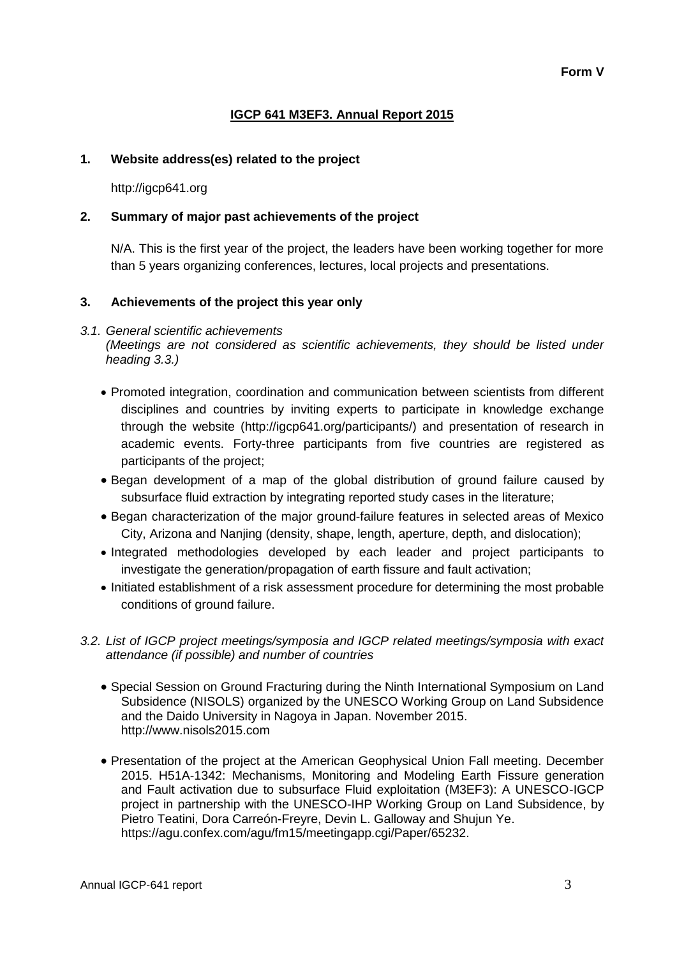# **IGCP 641 M3EF3. Annual Report 2015**

### **1. Website address(es) related to the project**

http://igcp641.org

### **2. Summary of major past achievements of the project**

N/A. This is the first year of the project, the leaders have been working together for more than 5 years organizing conferences, lectures, local projects and presentations.

### **3. Achievements of the project this year only**

#### *3.1. General scientific achievements (Meetings are not considered as scientific achievements, they should be listed under heading 3.3.)*

- Promoted integration, coordination and communication between scientists from different disciplines and countries by inviting experts to participate in knowledge exchange through the website (http://igcp641.org/participants/) and presentation of research in academic events. Forty-three participants from five countries are registered as participants of the project;
- Began development of a map of the global distribution of ground failure caused by subsurface fluid extraction by integrating reported study cases in the literature;
- Began characterization of the major ground-failure features in selected areas of Mexico City, Arizona and Nanjing (density, shape, length, aperture, depth, and dislocation);
- Integrated methodologies developed by each leader and project participants to investigate the generation/propagation of earth fissure and fault activation;
- Initiated establishment of a risk assessment procedure for determining the most probable conditions of ground failure.

# *3.2. List of IGCP project meetings/symposia and IGCP related meetings/symposia with exact attendance (if possible) and number of countries*

- Special Session on Ground Fracturing during the Ninth International Symposium on Land Subsidence (NISOLS) organized by the UNESCO Working Group on Land Subsidence and the Daido University in Nagoya in Japan. November 2015. http://www.nisols2015.com
- Presentation of the project at the American Geophysical Union Fall meeting. December 2015. H51A-1342: Mechanisms, Monitoring and Modeling Earth Fissure generation and Fault activation due to subsurface Fluid exploitation (M3EF3): A UNESCO-IGCP project in partnership with the UNESCO-IHP Working Group on Land Subsidence, by Pietro Teatini, Dora Carreón-Freyre, Devin L. Galloway and Shujun Ye. https://agu.confex.com/agu/fm15/meetingapp.cgi/Paper/65232.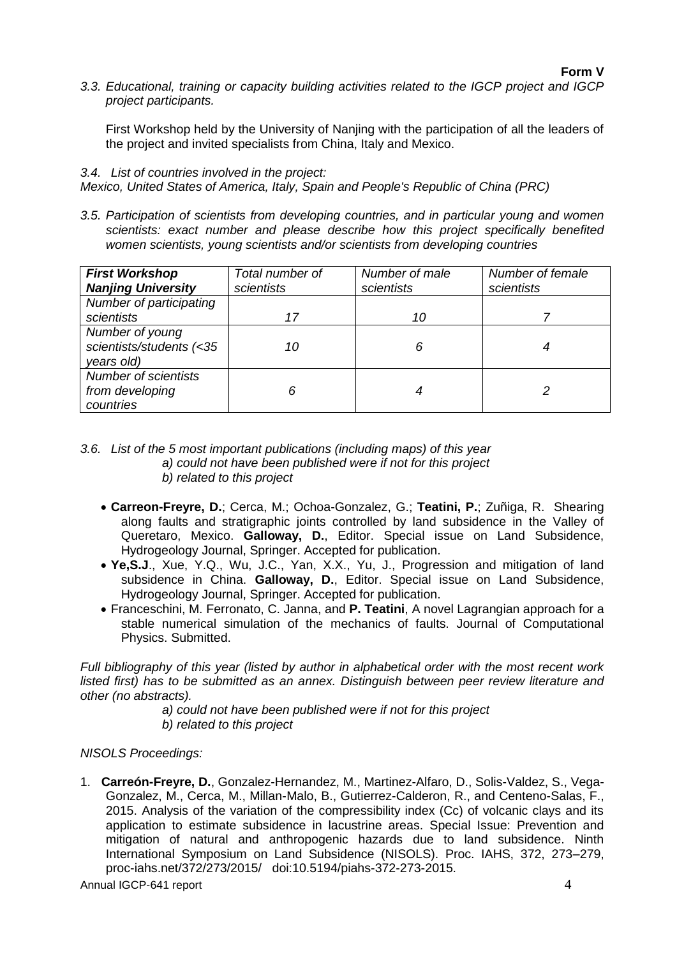*3.3. Educational, training or capacity building activities related to the IGCP project and IGCP project participants.*

First Workshop held by the University of Nanjing with the participation of all the leaders of the project and invited specialists from China, Italy and Mexico.

### *3.4. List of countries involved in the project:*

*Mexico, United States of America, Italy, Spain and People's Republic of China (PRC)*

*3.5. Participation of scientists from developing countries, and in particular young and women scientists: exact number and please describe how this project specifically benefited women scientists, young scientists and/or scientists from developing countries*

| <b>First Workshop</b><br><b>Nanjing University</b>          | Total number of<br>scientists | Number of male<br>scientists | Number of female<br>scientists |
|-------------------------------------------------------------|-------------------------------|------------------------------|--------------------------------|
| Number of participating<br>scientists                       | 17                            | 10                           |                                |
| Number of young<br>scientists/students (<35<br>years old)   | 10                            |                              |                                |
| <b>Number of scientists</b><br>from developing<br>countries |                               |                              |                                |

#### *3.6. List of the 5 most important publications (including maps) of this year a) could not have been published were if not for this project b) related to this project*

- **Carreon-Freyre, D.**; Cerca, M.; Ochoa-Gonzalez, G.; **Teatini, P.**; Zuñiga, R. Shearing along faults and stratigraphic joints controlled by land subsidence in the Valley of Queretaro, Mexico. **Galloway, D.**, Editor. Special issue on Land Subsidence, Hydrogeology Journal, Springer. Accepted for publication.
- **Ye,S.J**., Xue, Y.Q., Wu, J.C., Yan, X.X., Yu, J., Progression and mitigation of land subsidence in China. **Galloway, D.**, Editor. Special issue on Land Subsidence, Hydrogeology Journal, Springer. Accepted for publication.
- Franceschini, M. Ferronato, C. Janna, and **P. Teatini**, A novel Lagrangian approach for a stable numerical simulation of the mechanics of faults. Journal of Computational Physics. Submitted.

*Full bibliography of this year (listed by author in alphabetical order with the most recent work listed first) has to be submitted as an annex. Distinguish between peer review literature and other (no abstracts).* 

> *a) could not have been published were if not for this project b) related to this project*

*NISOLS Proceedings:*

1. **Carreón-Freyre, D.**, Gonzalez-Hernandez, M., Martinez-Alfaro, D., Solis-Valdez, S., Vega-Gonzalez, M., Cerca, M., Millan-Malo, B., Gutierrez-Calderon, R., and Centeno-Salas, F., 2015. Analysis of the variation of the compressibility index (Cc) of volcanic clays and its application to estimate subsidence in lacustrine areas. Special Issue: Prevention and mitigation of natural and anthropogenic hazards due to land subsidence. Ninth International Symposium on Land Subsidence (NISOLS). Proc. IAHS, 372, 273–279, proc-iahs.net/372/273/2015/ doi:10.5194/piahs-372-273-2015.

Annual IGCP-641 report 4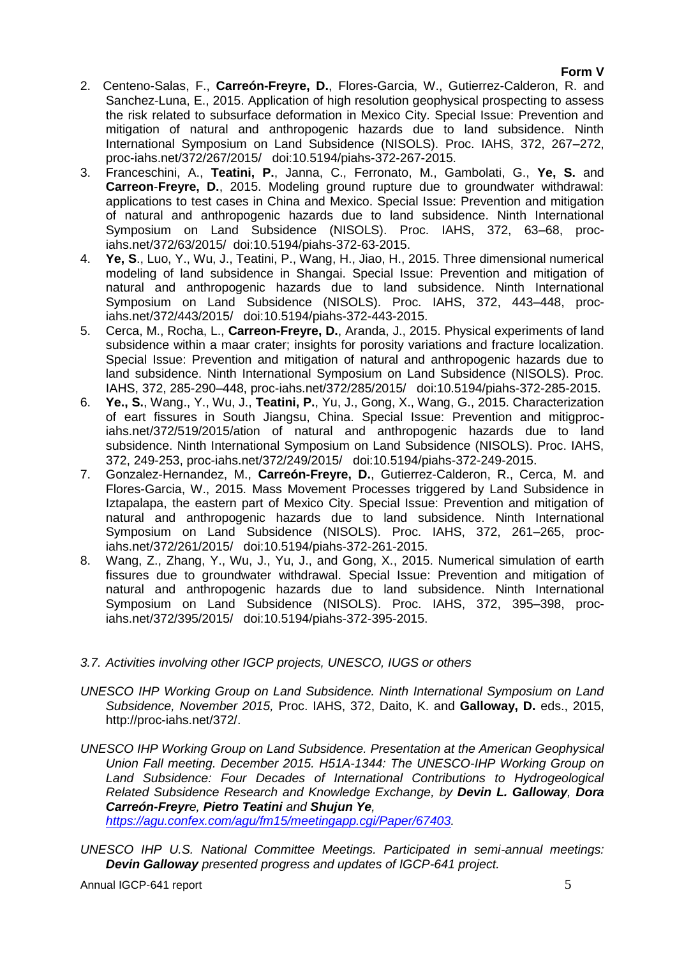# **Form V**

- 2. Centeno-Salas, F., **Carreón-Freyre, D.**, Flores-Garcia, W., Gutierrez-Calderon, R. and Sanchez-Luna, E., 2015. Application of high resolution geophysical prospecting to assess the risk related to subsurface deformation in Mexico City. Special Issue: Prevention and mitigation of natural and anthropogenic hazards due to land subsidence. Ninth International Symposium on Land Subsidence (NISOLS). Proc. IAHS, 372, 267–272, proc-iahs.net/372/267/2015/ doi:10.5194/piahs-372-267-2015.
- 3. Franceschini, A., **Teatini, P.**, Janna, C., Ferronato, M., Gambolati, G., **Ye, S.** and **Carreon**-**Freyre, D.**, 2015. Modeling ground rupture due to groundwater withdrawal: applications to test cases in China and Mexico. Special Issue: Prevention and mitigation of natural and anthropogenic hazards due to land subsidence. Ninth International Symposium on Land Subsidence (NISOLS). Proc. IAHS, 372, 63–68, prociahs.net/372/63/2015/ doi:10.5194/piahs-372-63-2015.
- 4. **Ye, S**., Luo, Y., Wu, J., Teatini, P., Wang, H., Jiao, H., 2015. Three dimensional numerical modeling of land subsidence in Shangai. Special Issue: Prevention and mitigation of natural and anthropogenic hazards due to land subsidence. Ninth International Symposium on Land Subsidence (NISOLS). Proc. IAHS, 372, 443–448, prociahs.net/372/443/2015/ doi:10.5194/piahs-372-443-2015.
- 5. Cerca, M., Rocha, L., **Carreon-Freyre, D.**, Aranda, J., 2015. Physical experiments of land subsidence within a maar crater; insights for porosity variations and fracture localization. Special Issue: Prevention and mitigation of natural and anthropogenic hazards due to land subsidence. Ninth International Symposium on Land Subsidence (NISOLS). Proc. IAHS, 372, 285-290–448, proc-iahs.net/372/285/2015/ doi:10.5194/piahs-372-285-2015.
- 6. **Ye., S.**, Wang., Y., Wu, J., **Teatini, P.**, Yu, J., Gong, X., Wang, G., 2015. Characterization of eart fissures in South Jiangsu, China. Special Issue: Prevention and mitigprociahs.net/372/519/2015/ation of natural and anthropogenic hazards due to land subsidence. Ninth International Symposium on Land Subsidence (NISOLS). Proc. IAHS, 372, 249-253, proc-iahs.net/372/249/2015/ doi:10.5194/piahs-372-249-2015.
- 7. Gonzalez-Hernandez, M., **Carreón-Freyre, D.**, Gutierrez-Calderon, R., Cerca, M. and Flores-Garcia, W., 2015. Mass Movement Processes triggered by Land Subsidence in Iztapalapa, the eastern part of Mexico City. Special Issue: Prevention and mitigation of natural and anthropogenic hazards due to land subsidence. Ninth International Symposium on Land Subsidence (NISOLS). Proc. IAHS, 372, 261–265, prociahs.net/372/261/2015/ doi:10.5194/piahs-372-261-2015.
- 8. Wang, Z., Zhang, Y., Wu, J., Yu, J., and Gong, X., 2015. Numerical simulation of earth fissures due to groundwater withdrawal. Special Issue: Prevention and mitigation of natural and anthropogenic hazards due to land subsidence. Ninth International Symposium on Land Subsidence (NISOLS). Proc. IAHS, 372, 395–398, prociahs.net/372/395/2015/ doi:10.5194/piahs-372-395-2015.
- *3.7. Activities involving other IGCP projects, UNESCO, IUGS or others*
- *UNESCO IHP Working Group on Land Subsidence. Ninth International Symposium on Land Subsidence, November 2015,* Proc. IAHS, 372, Daito, K. and **Galloway, D.** eds., 2015, http://proc-iahs.net/372/.
- *UNESCO IHP Working Group on Land Subsidence. Presentation at the American Geophysical Union Fall meeting. December 2015. H51A-1344: The UNESCO-IHP Working Group on Land Subsidence: Four Decades of International Contributions to Hydrogeological Related Subsidence Research and Knowledge Exchange, by Devin L. Galloway, Dora Carreón-Freyre, Pietro Teatini and Shujun Ye, [https://agu.confex.com/agu/fm15/meetingapp.cgi/Paper/67403.](https://agu.confex.com/agu/fm15/meetingapp.cgi/Paper/67403)*
- *UNESCO IHP U.S. National Committee Meetings. Participated in semi-annual meetings: Devin Galloway presented progress and updates of IGCP-641 project.*

Annual IGCP-641 report 5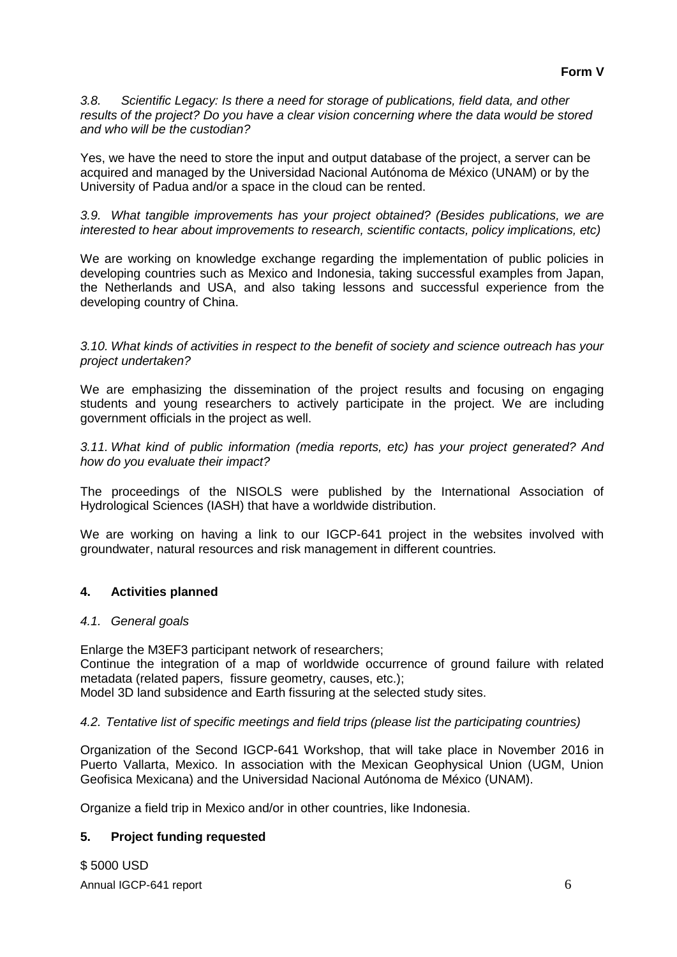*3.8. Scientific Legacy: Is there a need for storage of publications, field data, and other results of the project? Do you have a clear vision concerning where the data would be stored and who will be the custodian?*

Yes, we have the need to store the input and output database of the project, a server can be acquired and managed by the Universidad Nacional Autónoma de México (UNAM) or by the University of Padua and/or a space in the cloud can be rented.

*3.9. What tangible improvements has your project obtained? (Besides publications, we are interested to hear about improvements to research, scientific contacts, policy implications, etc)*

We are working on knowledge exchange regarding the implementation of public policies in developing countries such as Mexico and Indonesia, taking successful examples from Japan, the Netherlands and USA, and also taking lessons and successful experience from the developing country of China.

*3.10. What kinds of activities in respect to the benefit of society and science outreach has your project undertaken?*

We are emphasizing the dissemination of the project results and focusing on engaging students and young researchers to actively participate in the project. We are including government officials in the project as well.

*3.11. What kind of public information (media reports, etc) has your project generated? And how do you evaluate their impact?*

The proceedings of the NISOLS were published by the International Association of Hydrological Sciences (IASH) that have a worldwide distribution.

We are working on having a link to our IGCP-641 project in the websites involved with groundwater, natural resources and risk management in different countries*.*

# **4. Activities planned**

#### *4.1. General goals*

Enlarge the M3EF3 participant network of researchers;

Continue the integration of a map of worldwide occurrence of ground failure with related metadata (related papers, fissure geometry, causes, etc.);

Model 3D land subsidence and Earth fissuring at the selected study sites.

### *4.2. Tentative list of specific meetings and field trips (please list the participating countries)*

Organization of the Second IGCP-641 Workshop, that will take place in November 2016 in Puerto Vallarta, Mexico. In association with the Mexican Geophysical Union (UGM, Union Geofisica Mexicana) and the Universidad Nacional Autónoma de México (UNAM).

Organize a field trip in Mexico and/or in other countries, like Indonesia.

# **5. Project funding requested**

Annual IGCP-641 report 6 and 1988 and 1988 and 1988 and 1988 and 1988 and 1988 and 1988 and 1988 and 1988 and 1988 and 1988 and 1988 and 1988 and 1988 and 1988 and 1988 and 1988 and 1988 and 1988 and 1988 and 1988 and 1988 \$ 5000 USD